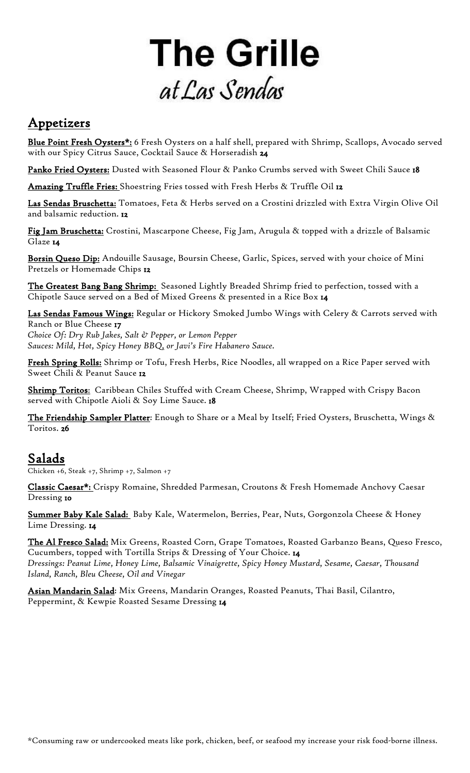# **The Grille** at Las Sendas

## Appetizers

Blue Point Fresh Oysters\*: 6 Fresh Oysters on a half shell, prepared with Shrimp, Scallops, Avocado served with our Spicy Citrus Sauce, Cocktail Sauce & Horseradish 24

Panko Fried Oysters: Dusted with Seasoned Flour & Panko Crumbs served with Sweet Chili Sauce 18

Amazing Truffle Fries: Shoestring Fries tossed with Fresh Herbs & Truffle Oil 12

Las Sendas Bruschetta: Tomatoes, Feta & Herbs served on a Crostini drizzled with Extra Virgin Olive Oil and balsamic reduction. 12

Fig Jam Bruschetta: Crostini, Mascarpone Cheese, Fig Jam, Arugula & topped with a drizzle of Balsamic Glaze 14

Borsin Queso Dip: Andouille Sausage, Boursin Cheese, Garlic, Spices, served with your choice of Mini Pretzels or Homemade Chips 12

The Greatest Bang Bang Shrimp: Seasoned Lightly Breaded Shrimp fried to perfection, tossed with a Chipotle Sauce served on a Bed of Mixed Greens & presented in a Rice Box 14

Las Sendas Famous Wings: Regular or Hickory Smoked Jumbo Wings with Celery & Carrots served with Ranch or Blue Cheese 17

*Choice Of: Dry Rub Jakes, Salt & Pepper, or Lemon Pepper Sauces: Mild, Hot, Spicy Honey BBQ, or Javi's Fire Habanero Sauce.*

Fresh Spring Rolls: Shrimp or Tofu, Fresh Herbs, Rice Noodles, all wrapped on a Rice Paper served with Sweet Chili & Peanut Sauce 12

Shrimp Toritos: Caribbean Chiles Stuffed with Cream Cheese, Shrimp, Wrapped with Crispy Bacon served with Chipotle Aioli & Soy Lime Sauce. 18

The Friendship Sampler Platter: Enough to Share or a Meal by Itself; Fried Oysters, Bruschetta, Wings & Toritos. 26

Salads Chicken +6, Steak +7, Shrimp +7, Salmon +7

Classic Caesar\*: Crispy Romaine, Shredded Parmesan, Croutons & Fresh Homemade Anchovy Caesar Dressing 10

Summer Baby Kale Salad: Baby Kale, Watermelon, Berries, Pear, Nuts, Gorgonzola Cheese & Honey Lime Dressing. 14

The Al Fresco Salad: Mix Greens, Roasted Corn, Grape Tomatoes, Roasted Garbanzo Beans, Queso Fresco, Cucumbers, topped with Tortilla Strips & Dressing of Your Choice. 14 *Dressings: Peanut Lime, Honey Lime, Balsamic Vinaigrette, Spicy Honey Mustard, Sesame, Caesar, Thousand Island, Ranch, Bleu Cheese, Oil and Vinegar* 

Asian Mandarin Salad: Mix Greens, Mandarin Oranges, Roasted Peanuts, Thai Basil, Cilantro, Peppermint, & Kewpie Roasted Sesame Dressing 14